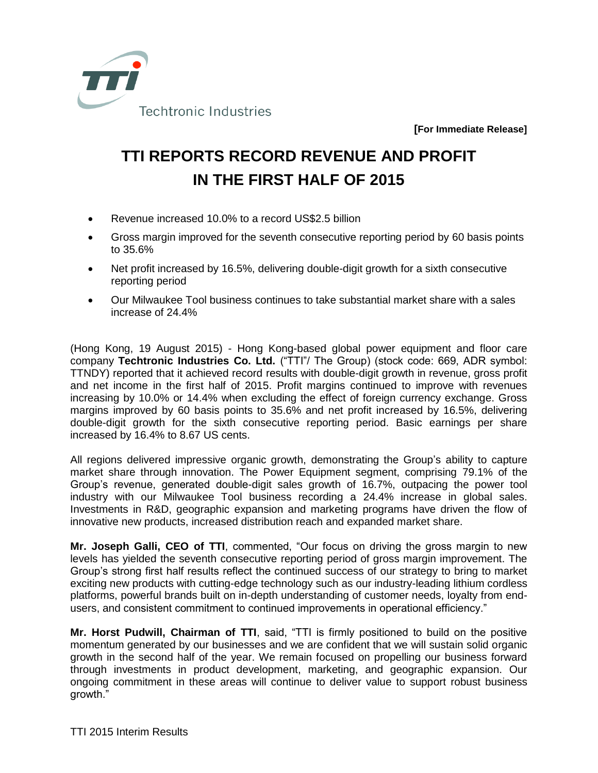

**[For Immediate Release]**

## **TTI REPORTS RECORD REVENUE AND PROFIT IN THE FIRST HALF OF 2015**

- Revenue increased 10.0% to a record US\$2.5 billion
- Gross margin improved for the seventh consecutive reporting period by 60 basis points to 35.6%
- Net profit increased by 16.5%, delivering double-digit growth for a sixth consecutive reporting period
- Our Milwaukee Tool business continues to take substantial market share with a sales increase of 24.4%

(Hong Kong, 19 August 2015) - Hong Kong-based global power equipment and floor care company **Techtronic Industries Co. Ltd.** ("TTI"/ The Group) (stock code: 669, ADR symbol: TTNDY) reported that it achieved record results with double-digit growth in revenue, gross profit and net income in the first half of 2015. Profit margins continued to improve with revenues increasing by 10.0% or 14.4% when excluding the effect of foreign currency exchange. Gross margins improved by 60 basis points to 35.6% and net profit increased by 16.5%, delivering double-digit growth for the sixth consecutive reporting period. Basic earnings per share increased by 16.4% to 8.67 US cents.

All regions delivered impressive organic growth, demonstrating the Group's ability to capture market share through innovation. The Power Equipment segment, comprising 79.1% of the Group's revenue, generated double-digit sales growth of 16.7%, outpacing the power tool industry with our Milwaukee Tool business recording a 24.4% increase in global sales. Investments in R&D, geographic expansion and marketing programs have driven the flow of innovative new products, increased distribution reach and expanded market share.

**Mr. Joseph Galli, CEO of TTI**, commented, "Our focus on driving the gross margin to new levels has yielded the seventh consecutive reporting period of gross margin improvement. The Group's strong first half results reflect the continued success of our strategy to bring to market exciting new products with cutting-edge technology such as our industry-leading lithium cordless platforms, powerful brands built on in-depth understanding of customer needs, loyalty from endusers, and consistent commitment to continued improvements in operational efficiency."

**Mr. Horst Pudwill, Chairman of TTI**, said, "TTI is firmly positioned to build on the positive momentum generated by our businesses and we are confident that we will sustain solid organic growth in the second half of the year. We remain focused on propelling our business forward through investments in product development, marketing, and geographic expansion. Our ongoing commitment in these areas will continue to deliver value to support robust business growth."